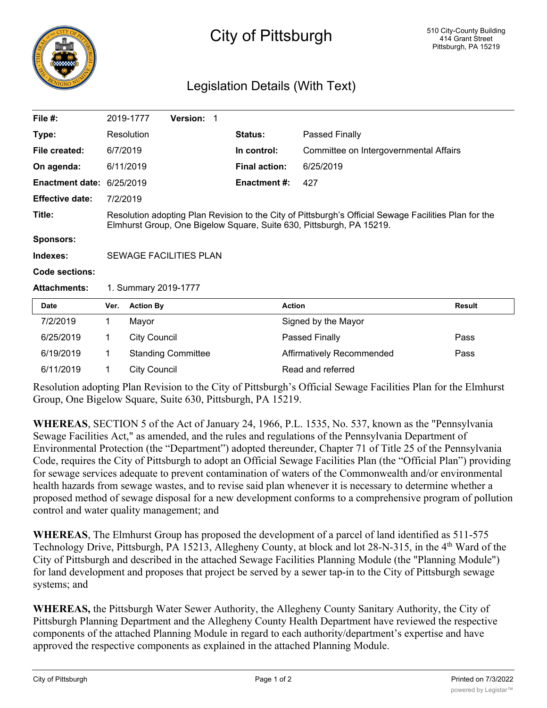

## City of Pittsburgh

## Legislation Details (With Text)

| File $#$ :             |                                                                                                                                                                               | 2019-1777                 | Version: 1 |  |                      |                                        |        |
|------------------------|-------------------------------------------------------------------------------------------------------------------------------------------------------------------------------|---------------------------|------------|--|----------------------|----------------------------------------|--------|
| Type:                  |                                                                                                                                                                               | Resolution                |            |  | Status:              | Passed Finally                         |        |
| File created:          | 6/7/2019                                                                                                                                                                      |                           |            |  | In control:          | Committee on Intergovernmental Affairs |        |
| On agenda:             |                                                                                                                                                                               | 6/11/2019                 |            |  | <b>Final action:</b> | 6/25/2019                              |        |
| <b>Enactment date:</b> | 6/25/2019                                                                                                                                                                     |                           |            |  | <b>Enactment #:</b>  | 427                                    |        |
| <b>Effective date:</b> | 7/2/2019                                                                                                                                                                      |                           |            |  |                      |                                        |        |
| Title:                 | Resolution adopting Plan Revision to the City of Pittsburgh's Official Sewage Facilities Plan for the<br>Elmhurst Group, One Bigelow Square, Suite 630, Pittsburgh, PA 15219. |                           |            |  |                      |                                        |        |
| <b>Sponsors:</b>       |                                                                                                                                                                               |                           |            |  |                      |                                        |        |
| Indexes:               | SEWAGE FACILITIES PLAN                                                                                                                                                        |                           |            |  |                      |                                        |        |
| <b>Code sections:</b>  |                                                                                                                                                                               |                           |            |  |                      |                                        |        |
| <b>Attachments:</b>    | 1. Summary 2019-1777                                                                                                                                                          |                           |            |  |                      |                                        |        |
| <b>Date</b>            | Ver.                                                                                                                                                                          | <b>Action By</b>          |            |  |                      | <b>Action</b>                          | Result |
| 7/2/2019               | 1                                                                                                                                                                             | Mayor                     |            |  |                      | Signed by the Mayor                    |        |
| 6/25/2019              | 1.                                                                                                                                                                            | <b>City Council</b>       |            |  |                      | Passed Finally                         | Pass   |
| 6/19/2019              | 1                                                                                                                                                                             | <b>Standing Committee</b> |            |  |                      | Affirmatively Recommended              | Pass   |
| 6/11/2019              | 1                                                                                                                                                                             | <b>City Council</b>       |            |  |                      | Read and referred                      |        |

Resolution adopting Plan Revision to the City of Pittsburgh's Official Sewage Facilities Plan for the Elmhurst Group, One Bigelow Square, Suite 630, Pittsburgh, PA 15219.

**WHEREAS**, SECTION 5 of the Act of January 24, 1966, P.L. 1535, No. 537, known as the "Pennsylvania Sewage Facilities Act," as amended, and the rules and regulations of the Pennsylvania Department of Environmental Protection (the "Department") adopted thereunder, Chapter 71 of Title 25 of the Pennsylvania Code, requires the City of Pittsburgh to adopt an Official Sewage Facilities Plan (the "Official Plan") providing for sewage services adequate to prevent contamination of waters of the Commonwealth and/or environmental health hazards from sewage wastes, and to revise said plan whenever it is necessary to determine whether a proposed method of sewage disposal for a new development conforms to a comprehensive program of pollution control and water quality management; and

**WHEREAS**, The Elmhurst Group has proposed the development of a parcel of land identified as 511-575 Technology Drive, Pittsburgh, PA 15213, Allegheny County, at block and lot 28-N-315, in the 4<sup>th</sup> Ward of the City of Pittsburgh and described in the attached Sewage Facilities Planning Module (the "Planning Module") for land development and proposes that project be served by a sewer tap-in to the City of Pittsburgh sewage systems; and

**WHEREAS,** the Pittsburgh Water Sewer Authority, the Allegheny County Sanitary Authority, the City of Pittsburgh Planning Department and the Allegheny County Health Department have reviewed the respective components of the attached Planning Module in regard to each authority/department's expertise and have approved the respective components as explained in the attached Planning Module.